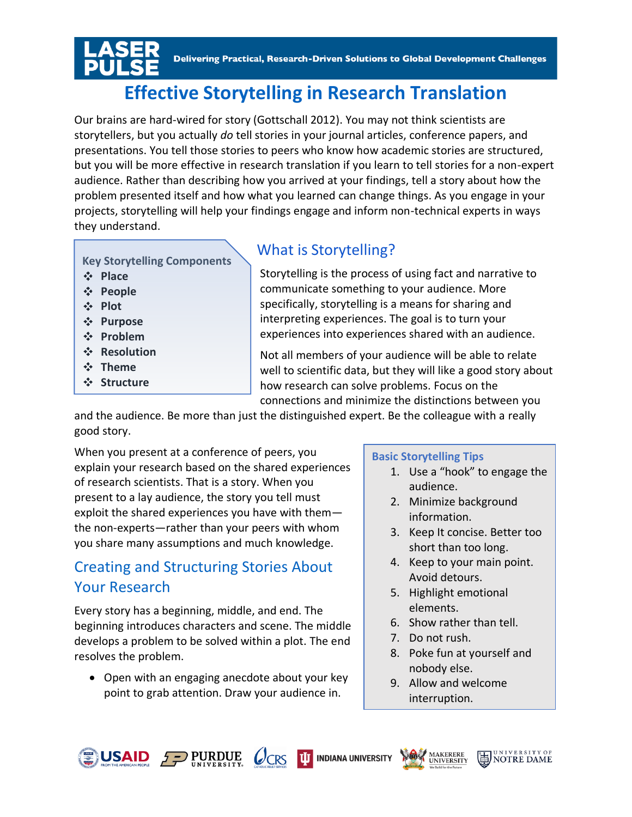Delivering Practical, Research-Driven Solutions to Global Development Challenges

# **Effective Storytelling in Research Translation**

Our brains are hard-wired for story (Gottschall 2012). You may not think scientists are storytellers, but you actually *do* tell stories in your journal articles, conference papers, and presentations. You tell those stories to peers who know how academic stories are structured, but you will be more effective in research translation if you learn to tell stories for a non-expert audience. Rather than describing how you arrived at your findings, tell a story about how the problem presented itself and how what you learned can change things. As you engage in your projects, storytelling will help your findings engage and inform non-technical experts in ways they understand.

**Key Storytelling Components**

- **Place**
- **People**
- **Plot**
- **Purpose**
- **Problem**
- **Resolution**
- **Theme**
- **Structure**

### What is Storytelling?

Storytelling is the process of using fact and narrative to communicate something to your audience. More specifically, storytelling is a means for sharing and interpreting experiences. The goal is to turn your experiences into experiences shared with an audience.

Not all members of your audience will be able to relate well to scientific data, but they will like a good story about how research can solve problems. Focus on the connections and minimize the distinctions between you

and the audience. Be more than just the distinguished expert. Be the colleague with a really good story.

When you present at a conference of peers, you explain your research based on the shared experiences of research scientists. That is a story. When you present to a lay audience, the story you tell must exploit the shared experiences you have with them the non-experts—rather than your peers with whom you share many assumptions and much knowledge.

# Creating and Structuring Stories About Your Research

Every story has a beginning, middle, and end. The beginning introduces characters and scene. The middle develops a problem to be solved within a plot. The end resolves the problem.

• Open with an engaging anecdote about your key point to grab attention. Draw your audience in.

 $QCRS$ 

#### **Basic Storytelling Tips**

- 1. Use a "hook" to engage the audience.
- 2. Minimize background information.
- 3. Keep It concise. Better too short than too long.
- 4. Keep to your main point. Avoid detours.
- 5. Highlight emotional elements.
- 6. Show rather than tell.
- 7. Do not rush.
- 8. Poke fun at yourself and nobody else.

**NOTRE DAME** 

9. Allow and welcome interruption.



**TIT INDIANA UNIVERSITY** 

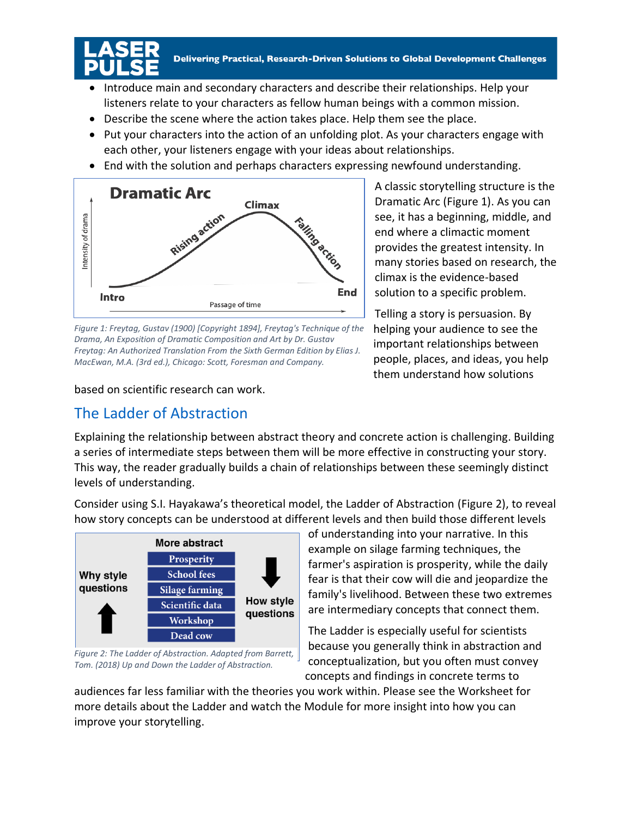

- Introduce main and secondary characters and describe their relationships. Help your listeners relate to your characters as fellow human beings with a common mission.
- Describe the scene where the action takes place. Help them see the place.
- Put your characters into the action of an unfolding plot. As your characters engage with each other, your listeners engage with your ideas about relationships.
- End with the solution and perhaps characters expressing newfound understanding.



*Figure 1: Freytag, Gustav (1900) [Copyright 1894], Freytag's Technique of the Drama, An Exposition of Dramatic Composition and Art by Dr. Gustav Freytag: An Authorized Translation From the Sixth German Edition by Elias J. MacEwan, M.A. (3rd ed.), Chicago: Scott, Foresman and Company.*

based on scientific research can work.

## The Ladder of Abstraction

A classic storytelling structure is the Dramatic Arc (Figure 1). As you can see, it has a beginning, middle, and end where a climactic moment provides the greatest intensity. In many stories based on research, the climax is the evidence-based solution to a specific problem.

Telling a story is persuasion. By helping your audience to see the important relationships between people, places, and ideas, you help them understand how solutions

Explaining the relationship between abstract theory and concrete action is challenging. Building a series of intermediate steps between them will be more effective in constructing your story. This way, the reader gradually builds a chain of relationships between these seemingly distinct levels of understanding.

Consider using S.I. Hayakawa's theoretical model, the Ladder of Abstraction (Figure 2), to reveal how story concepts can be understood at different levels and then build those different levels



*Figure 2: The Ladder of Abstraction. Adapted from Barrett, Tom. (2018) Up and Down the Ladder of Abstraction.*

of understanding into your narrative. In this example on silage farming techniques, the farmer's aspiration is prosperity, while the daily fear is that their cow will die and jeopardize the family's livelihood. Between these two extremes are intermediary concepts that connect them.

The Ladder is especially useful for scientists because you generally think in abstraction and conceptualization, but you often must convey concepts and findings in concrete terms to

audiences far less familiar with the theories you work within. Please see the Worksheet for more details about the Ladder and watch the Module for more insight into how you can improve your storytelling.